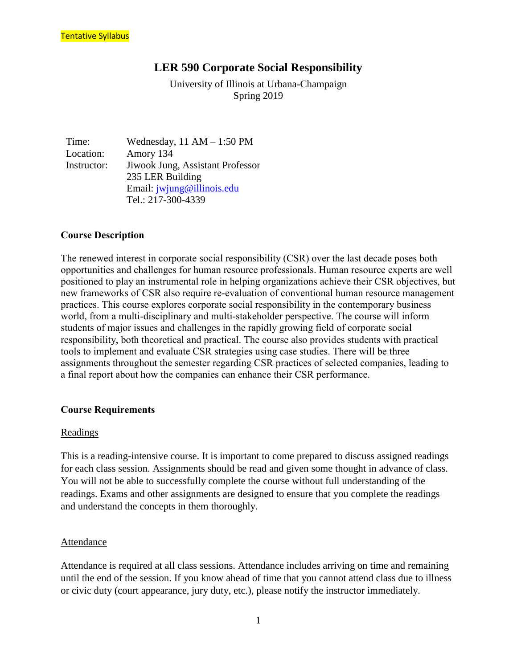## **LER 590 Corporate Social Responsibility**

University of Illinois at Urbana-Champaign Spring 2019

Time: Wednesday, 11 AM – 1:50 PM Location: Amory 134 Instructor: Jiwook Jung, Assistant Professor 235 LER Building Email: [jwjung@illinois.edu](mailto:jwjung@illinois.edu) Tel.: 217-300-4339

## **Course Description**

The renewed interest in corporate social responsibility (CSR) over the last decade poses both opportunities and challenges for human resource professionals. Human resource experts are well positioned to play an instrumental role in helping organizations achieve their CSR objectives, but new frameworks of CSR also require re-evaluation of conventional human resource management practices. This course explores corporate social responsibility in the contemporary business world, from a multi-disciplinary and multi-stakeholder perspective. The course will inform students of major issues and challenges in the rapidly growing field of corporate social responsibility, both theoretical and practical. The course also provides students with practical tools to implement and evaluate CSR strategies using case studies. There will be three assignments throughout the semester regarding CSR practices of selected companies, leading to a final report about how the companies can enhance their CSR performance.

## **Course Requirements**

#### Readings

This is a reading-intensive course. It is important to come prepared to discuss assigned readings for each class session. Assignments should be read and given some thought in advance of class. You will not be able to successfully complete the course without full understanding of the readings. Exams and other assignments are designed to ensure that you complete the readings and understand the concepts in them thoroughly.

#### Attendance

Attendance is required at all class sessions. Attendance includes arriving on time and remaining until the end of the session. If you know ahead of time that you cannot attend class due to illness or civic duty (court appearance, jury duty, etc.), please notify the instructor immediately.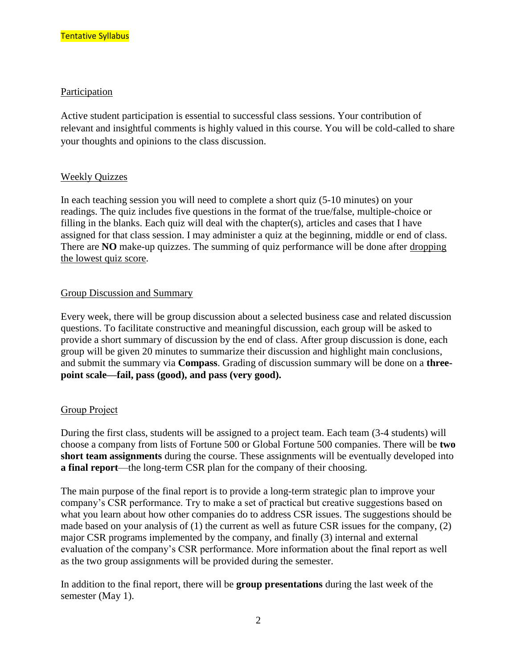#### Participation

Active student participation is essential to successful class sessions. Your contribution of relevant and insightful comments is highly valued in this course. You will be cold-called to share your thoughts and opinions to the class discussion.

## Weekly Quizzes

In each teaching session you will need to complete a short quiz (5-10 minutes) on your readings. The quiz includes five questions in the format of the true/false, multiple-choice or filling in the blanks. Each quiz will deal with the chapter(s), articles and cases that I have assigned for that class session. I may administer a quiz at the beginning, middle or end of class. There are **NO** make-up quizzes. The summing of quiz performance will be done after dropping the lowest quiz score.

#### Group Discussion and Summary

Every week, there will be group discussion about a selected business case and related discussion questions. To facilitate constructive and meaningful discussion, each group will be asked to provide a short summary of discussion by the end of class. After group discussion is done, each group will be given 20 minutes to summarize their discussion and highlight main conclusions, and submit the summary via **Compass**. Grading of discussion summary will be done on a **threepoint scale—fail, pass (good), and pass (very good).** 

## Group Project

During the first class, students will be assigned to a project team. Each team (3-4 students) will choose a company from lists of Fortune 500 or Global Fortune 500 companies. There will be **two short team assignments** during the course. These assignments will be eventually developed into **a final report**—the long-term CSR plan for the company of their choosing.

The main purpose of the final report is to provide a long-term strategic plan to improve your company's CSR performance. Try to make a set of practical but creative suggestions based on what you learn about how other companies do to address CSR issues. The suggestions should be made based on your analysis of (1) the current as well as future CSR issues for the company, (2) major CSR programs implemented by the company, and finally (3) internal and external evaluation of the company's CSR performance. More information about the final report as well as the two group assignments will be provided during the semester.

In addition to the final report, there will be **group presentations** during the last week of the semester (May 1).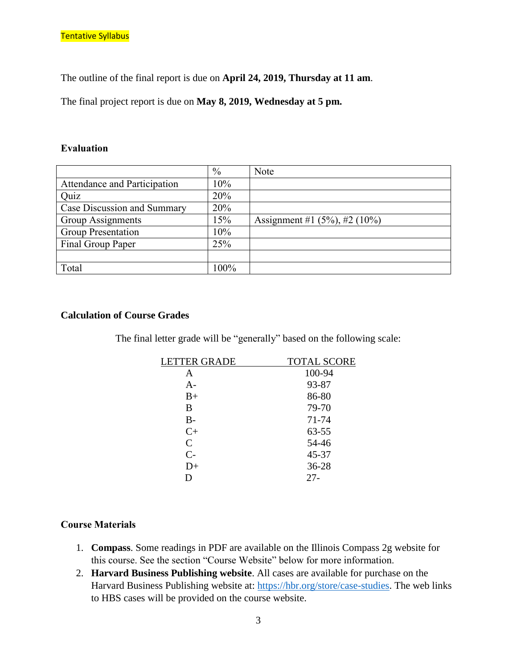The outline of the final report is due on **April 24, 2019, Thursday at 11 am**.

The final project report is due on **May 8, 2019, Wednesday at 5 pm.**

#### **Evaluation**

|                              | $\frac{0}{0}$ | Note                                |
|------------------------------|---------------|-------------------------------------|
| Attendance and Participation | 10%           |                                     |
| Quiz                         | 20%           |                                     |
| Case Discussion and Summary  | 20%           |                                     |
| <b>Group Assignments</b>     | 15%           | Assignment #1 $(5\%)$ , #2 $(10\%)$ |
| <b>Group Presentation</b>    | 10%           |                                     |
| Final Group Paper            | 25%           |                                     |
|                              |               |                                     |
| Total                        | 100%          |                                     |

#### **Calculation of Course Grades**

The final letter grade will be "generally" based on the following scale:

| <b>LETTER GRADE</b> | TOTAL SCORE |
|---------------------|-------------|
| A                   | 100-94      |
| $A-$                | 93-87       |
| $B+$                | 86-80       |
| B                   | 79-70       |
| $B -$               | 71-74       |
| $C+$                | 63-55       |
| $\mathcal{C}$       | 54-46       |
| $C-$                | 45-37       |
| $D+$                | 36-28       |
| D                   | $27 -$      |

#### **Course Materials**

- 1. **Compass**. Some readings in PDF are available on the Illinois Compass 2g website for this course. See the section "Course Website" below for more information.
- 2. **Harvard Business Publishing website**. All cases are available for purchase on the Harvard Business Publishing website at: [https://hbr.org/store/case-studies.](https://hbr.org/store/case-studies) The web links to HBS cases will be provided on the course website.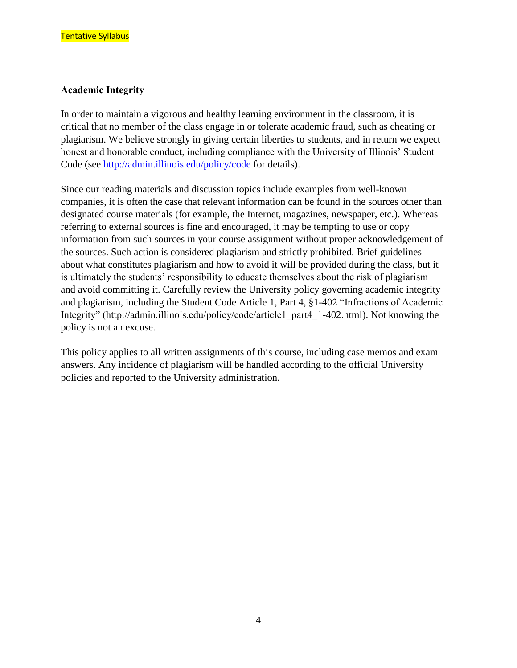#### **Academic Integrity**

In order to maintain a vigorous and healthy learning environment in the classroom, it is critical that no member of the class engage in or tolerate academic fraud, such as cheating or plagiarism. We believe strongly in giving certain liberties to students, and in return we expect honest and honorable conduct, including compliance with the University of Illinois' Student Code (see [http://admin.illinois.edu/policy/code f](http://admin.illinois.edu/policy/code)or details).

Since our reading materials and discussion topics include examples from well-known companies, it is often the case that relevant information can be found in the sources other than designated course materials (for example, the Internet, magazines, newspaper, etc.). Whereas referring to external sources is fine and encouraged, it may be tempting to use or copy information from such sources in your course assignment without proper acknowledgement of the sources. Such action is considered plagiarism and strictly prohibited. Brief guidelines about what constitutes plagiarism and how to avoid it will be provided during the class, but it is ultimately the students' responsibility to educate themselves about the risk of plagiarism and avoid committing it. Carefully review the University policy governing academic integrity and plagiarism, including the Student Code Article 1, Part 4, §1-402 "Infractions of Academic Integrity" (http://admin.illinois.edu/policy/code/article1\_part4\_1-402.html). Not knowing the policy is not an excuse.

This policy applies to all written assignments of this course, including case memos and exam answers. Any incidence of plagiarism will be handled according to the official University policies and reported to the University administration.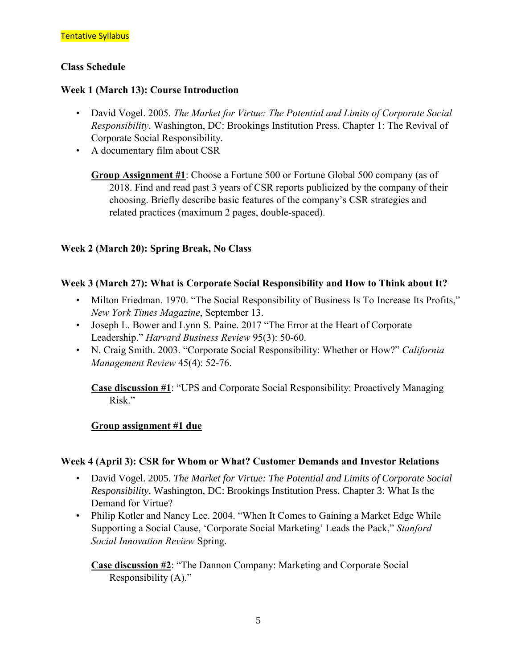## **Class Schedule**

## **Week 1 (March 13): Course Introduction**

- David Vogel. 2005. *The Market for Virtue: The Potential and Limits of Corporate Social Responsibility*. Washington, DC: Brookings Institution Press. Chapter 1: The Revival of Corporate Social Responsibility.
- A documentary film about CSR
	- **Group Assignment #1**: Choose a Fortune 500 or Fortune Global 500 company (as of 2018. Find and read past 3 years of CSR reports publicized by the company of their choosing. Briefly describe basic features of the company's CSR strategies and related practices (maximum 2 pages, double-spaced).

## **Week 2 (March 20): Spring Break, No Class**

## **Week 3 (March 27): What is Corporate Social Responsibility and How to Think about It?**

- Milton Friedman. 1970. "The Social Responsibility of Business Is To Increase Its Profits," *New York Times Magazine*, September 13.
- Joseph L. Bower and Lynn S. Paine. 2017 "The Error at the Heart of Corporate Leadership." *Harvard Business Review* 95(3): 50-60.
- N. Craig Smith. 2003. "Corporate Social Responsibility: Whether or How?" *California Management Review* 45(4): 52-76.

**Case discussion #1**: "UPS and Corporate Social Responsibility: Proactively Managing Risk."

## **Group assignment #1 due**

## **Week 4 (April 3): CSR for Whom or What? Customer Demands and Investor Relations**

- David Vogel. 2005. *The Market for Virtue: The Potential and Limits of Corporate Social Responsibility*. Washington, DC: Brookings Institution Press. Chapter 3: What Is the Demand for Virtue?
- Philip Kotler and Nancy Lee. 2004. "When It Comes to Gaining a Market Edge While Supporting a Social Cause, 'Corporate Social Marketing' Leads the Pack," *Stanford Social Innovation Review* Spring.

**Case discussion #2**: "The Dannon Company: Marketing and Corporate Social Responsibility (A)."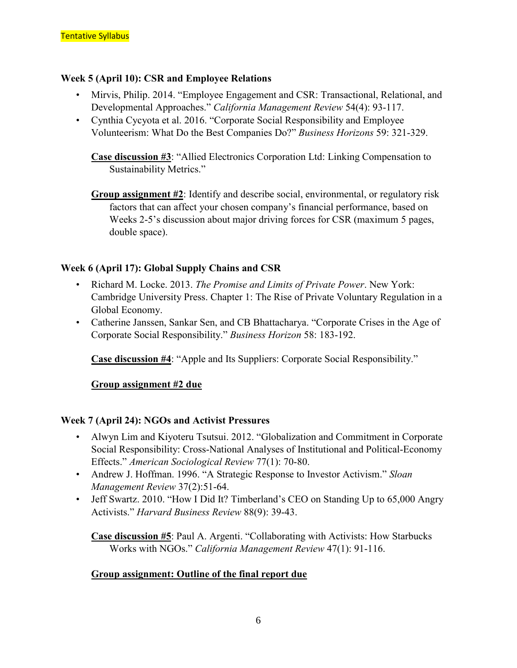## **Week 5 (April 10): CSR and Employee Relations**

- Mirvis, Philip. 2014. "Employee Engagement and CSR: Transactional, Relational, and Developmental Approaches." *California Management Review* 54(4): 93-117.
- Cynthia Cycyota et al. 2016. "Corporate Social Responsibility and Employee Volunteerism: What Do the Best Companies Do?" *Business Horizons* 59: 321-329.

**Case discussion #3**: "Allied Electronics Corporation Ltd: Linking Compensation to Sustainability Metrics."

**Group assignment #2**: Identify and describe social, environmental, or regulatory risk factors that can affect your chosen company's financial performance, based on Weeks 2-5's discussion about major driving forces for CSR (maximum 5 pages, double space).

## **Week 6 (April 17): Global Supply Chains and CSR**

- Richard M. Locke. 2013. *The Promise and Limits of Private Power*. New York: Cambridge University Press. Chapter 1: The Rise of Private Voluntary Regulation in a Global Economy.
- Catherine Janssen, Sankar Sen, and CB Bhattacharya. "Corporate Crises in the Age of Corporate Social Responsibility." *Business Horizon* 58: 183-192.

**Case discussion #4**: "Apple and Its Suppliers: Corporate Social Responsibility."

## **Group assignment #2 due**

## **Week 7 (April 24): NGOs and Activist Pressures**

- Alwyn Lim and Kiyoteru Tsutsui. 2012. "Globalization and Commitment in Corporate Social Responsibility: Cross-National Analyses of Institutional and Political-Economy Effects." *American Sociological Review* 77(1): 70-80.
- Andrew J. Hoffman. 1996. "A Strategic Response to Investor Activism." *Sloan Management Review* 37(2):51-64.
- Jeff Swartz. 2010. "How I Did It? Timberland's CEO on Standing Up to 65,000 Angry Activists." *Harvard Business Review* 88(9): 39-43.

**Case discussion #5**: Paul A. Argenti. "Collaborating with Activists: How Starbucks Works with NGOs." *California Management Review* 47(1): 91-116.

## **Group assignment: Outline of the final report due**